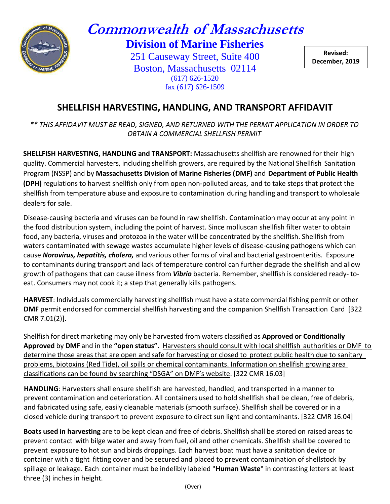

## **Commonwealth of Massachusetts Division of Marine Fisheries**

251 Causeway Street, Suite 400 Boston, Massachusetts 02114 (617) 626-1520 fax (617) 626-1509

**Revised: December, 2019**

## **SHELLFISH HARVESTING, HANDLING, AND TRANSPORT AFFIDAVIT**

*\*\* THIS AFFIDAVIT MUST BE READ, SIGNED, AND RETURNED WITH THE PERMIT APPLICATION IN ORDER TO OBTAIN A COMMERCIAL SHELLFISH PERMIT*

**SHELLFISH HARVESTING, HANDLING and TRANSPORT:** Massachusetts shellfish are renowned for their high quality. Commercial harvesters, including shellfish growers, are required by the National Shellfish Sanitation Program (NSSP) and by **Massachusetts Division of Marine Fisheries (DMF)** and **Department of Public Health (DPH)** regulations to harvest shellfish only from open non-polluted areas, and to take steps that protect the shellfish from temperature abuse and exposure to contamination during handling and transport to wholesale dealers for sale.

Disease-causing bacteria and viruses can be found in raw shellfish. Contamination may occur at any point in the food distribution system, including the point of harvest. Since molluscan shellfish filter water to obtain food, any bacteria, viruses and protozoa in the water will be concentrated by the shellfish. Shellfish from waters contaminated with sewage wastes accumulate higher levels of disease-causing pathogens which can cause *Norovirus, hepatitis, cholera,* and various other forms of viral and bacterial gastroenteritis. Exposure to contaminants during transport and lack of temperature control can further degrade the shellfish and allow growth of pathogens that can cause illness from *Vibrio* bacteria. Remember, shellfish is considered ready‐ to‐ eat. Consumers may not cook it; a step that generally kills pathogens.

**HARVEST**: Individuals commercially harvesting shellfish must have a state commercial fishing permit or other **DMF** permit endorsed for commercial shellfish harvesting and the companion Shellfish Transaction Card [322 CMR 7.01(2)].

Shellfish for direct marketing may only be harvested from waters classified as **Approved or Conditionally Approved** by **DMF** and in the **"open status".** Harvesters should consult with local shellfish authorities or DMF to determine those areas that are open and safe for harvesting or closed to protect public health due to sanitary problems, biotoxins (Red Tide), oil spills or chemical contaminants. Information on shellfish growing area classifications can be found by searching "DSGA" on DMF's website. [322 CMR 16.03]

**HANDLING**: Harvesters shall ensure shellfish are harvested, handled, and transported in a manner to prevent contamination and deterioration. All containers used to hold shellfish shall be clean, free of debris, and fabricated using safe, easily cleanable materials (smooth surface). Shellfish shall be covered or in a closed vehicle during transport to prevent exposure to direct sun light and contaminants. [322 CMR 16.04]

**Boats used in harvesting** are to be kept clean and free of debris. Shellfish shall be stored on raised areas to prevent contact with bilge water and away from fuel, oil and other chemicals. Shellfish shall be covered to prevent exposure to hot sun and birds droppings. Each harvest boat must have a sanitation device or container with a tight fitting cover and be secured and placed to prevent contamination of shellstock by spillage or leakage. Each container must be indelibly labeled "**Human Waste**" in contrasting letters at least three (3) inches in height.